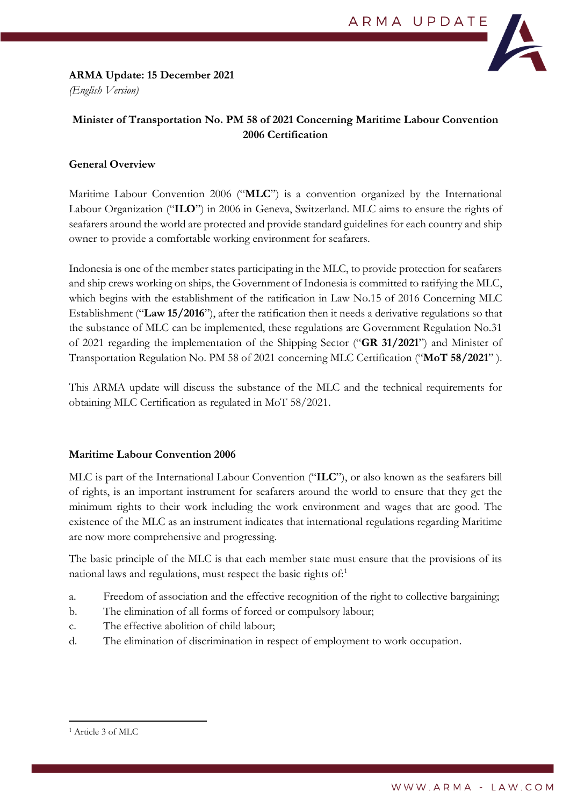### **ARMA Update: 15 December 2021** *(English Version)*



# **Minister of Transportation No. PM 58 of 2021 Concerning Maritime Labour Convention 2006 Certification**

## **General Overview**

Maritime Labour Convention 2006 ("**MLC**") is a convention organized by the International Labour Organization ("**ILO**") in 2006 in Geneva, Switzerland. MLC aims to ensure the rights of seafarers around the world are protected and provide standard guidelines for each country and ship owner to provide a comfortable working environment for seafarers.

Indonesia is one of the member states participating in the MLC, to provide protection for seafarers and ship crews working on ships, the Government of Indonesia is committed to ratifying the MLC, which begins with the establishment of the ratification in Law No.15 of 2016 Concerning MLC Establishment ("**Law 15/2016**"), after the ratification then it needs a derivative regulations so that the substance of MLC can be implemented, these regulations are Government Regulation No.31 of 2021 regarding the implementation of the Shipping Sector ("**GR 31/2021**") and Minister of Transportation Regulation No. PM 58 of 2021 concerning MLC Certification ("**MoT 58/2021**" ).

This ARMA update will discuss the substance of the MLC and the technical requirements for obtaining MLC Certification as regulated in MoT 58/2021.

## **Maritime Labour Convention 2006**

MLC is part of the International Labour Convention ("**ILC**"), or also known as the seafarers bill of rights, is an important instrument for seafarers around the world to ensure that they get the minimum rights to their work including the work environment and wages that are good. The existence of the MLC as an instrument indicates that international regulations regarding Maritime are now more comprehensive and progressing.

The basic principle of the MLC is that each member state must ensure that the provisions of its national laws and regulations, must respect the basic rights of:[1](#page-0-0)

- a. Freedom of association and the effective recognition of the right to collective bargaining;
- b. The elimination of all forms of forced or compulsory labour;
- c. The effective abolition of child labour;
- d. The elimination of discrimination in respect of employment to work occupation.

<span id="page-0-0"></span><sup>1</sup> Article 3 of MLC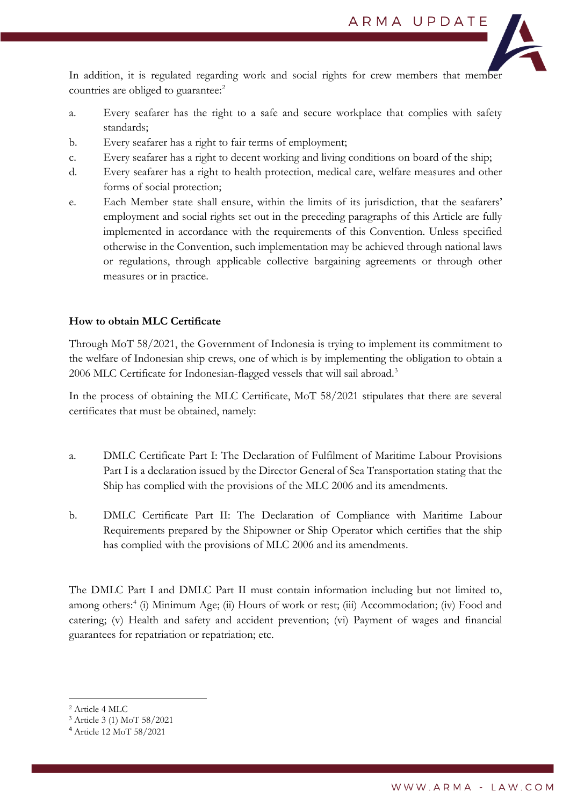

In addition, it is regulated regarding work and social rights for crew members that member countries are obliged to guarantee: [2](#page-1-0)

- a. Every seafarer has the right to a safe and secure workplace that complies with safety standards;
- b. Every seafarer has a right to fair terms of employment;
- c. Every seafarer has a right to decent working and living conditions on board of the ship;
- d. Every seafarer has a right to health protection, medical care, welfare measures and other forms of social protection;
- e. Each Member state shall ensure, within the limits of its jurisdiction, that the seafarers' employment and social rights set out in the preceding paragraphs of this Article are fully implemented in accordance with the requirements of this Convention. Unless specified otherwise in the Convention, such implementation may be achieved through national laws or regulations, through applicable collective bargaining agreements or through other measures or in practice.

## **How to obtain MLC Certificate**

Through MoT 58/2021, the Government of Indonesia is trying to implement its commitment to the welfare of Indonesian ship crews, one of which is by implementing the obligation to obtain a 2006 MLC Certificate for Indonesian-flagged vessels that will sail abroad.<sup>[3](#page-1-1)</sup>

In the process of obtaining the MLC Certificate, MoT 58/2021 stipulates that there are several certificates that must be obtained, namely:

- a. DMLC Certificate Part I: The Declaration of Fulfilment of Maritime Labour Provisions Part I is a declaration issued by the Director General of Sea Transportation stating that the Ship has complied with the provisions of the MLC 2006 and its amendments.
- b. DMLC Certificate Part II: The Declaration of Compliance with Maritime Labour Requirements prepared by the Shipowner or Ship Operator which certifies that the ship has complied with the provisions of MLC 2006 and its amendments.

The DMLC Part I and DMLC Part II must contain information including but not limited to, among others:<sup>[4](#page-1-2)</sup> (i) Minimum Age; (ii) Hours of work or rest; (iii) Accommodation; (iv) Food and catering; (v) Health and safety and accident prevention; (vi) Payment of wages and financial guarantees for repatriation or repatriation; etc.

<span id="page-1-0"></span><sup>2</sup> Article 4 MLC

<span id="page-1-1"></span><sup>3</sup> Article 3 (1) MoT 58/2021

<span id="page-1-2"></span><sup>4</sup> Article 12 MoT 58/2021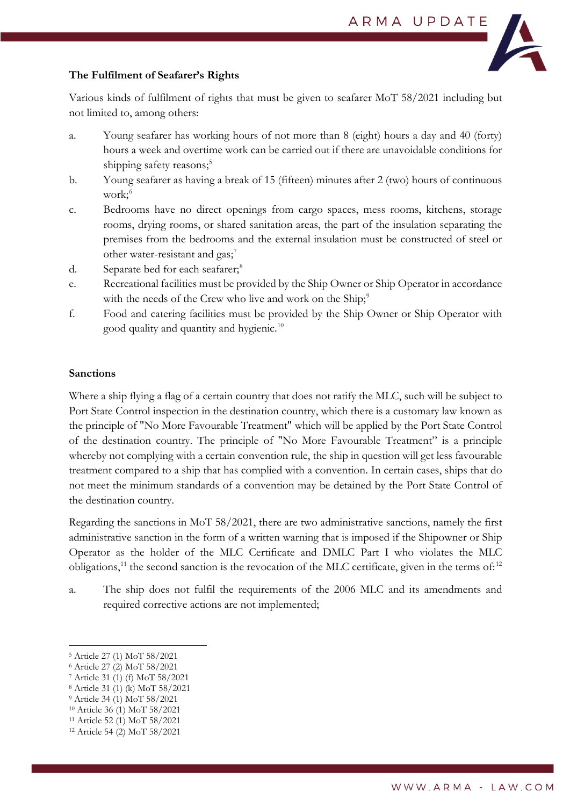

# **The Fulfilment of Seafarer's Rights**

Various kinds of fulfilment of rights that must be given to seafarer MoT 58/2021 including but not limited to, among others:

- a. Young seafarer has working hours of not more than 8 (eight) hours a day and 40 (forty) hours a week and overtime work can be carried out if there are unavoidable conditions for shipping safety reasons;<sup>5</sup>
- b. Young seafarer as having a break of 15 (fifteen) minutes after 2 (two) hours of continuous work;<sup>[6](#page-2-1)</sup>
- c. Bedrooms have no direct openings from cargo spaces, mess rooms, kitchens, storage rooms, drying rooms, or shared sanitation areas, the part of the insulation separating the premises from the bedrooms and the external insulation must be constructed of steel or other water-resistant and gas;<sup>[7](#page-2-2)</sup>
- d. Separate bed for each seafarer;<sup>[8](#page-2-3)</sup>
- e. Recreational facilities must be provided by the Ship Owner or Ship Operator in accordance with the needs of the Crew who live and work on the Ship;<sup>[9](#page-2-4)</sup>
- f. Food and catering facilities must be provided by the Ship Owner or Ship Operator with good quality and quantity and hygienic.<sup>[10](#page-2-5)</sup>

## **Sanctions**

Where a ship flying a flag of a certain country that does not ratify the MLC, such will be subject to Port State Control inspection in the destination country, which there is a customary law known as the principle of "No More Favourable Treatment" which will be applied by the Port State Control of the destination country. The principle of "No More Favourable Treatment" is a principle whereby not complying with a certain convention rule, the ship in question will get less favourable treatment compared to a ship that has complied with a convention. In certain cases, ships that do not meet the minimum standards of a convention may be detained by the Port State Control of the destination country.

Regarding the sanctions in MoT 58/2021, there are two administrative sanctions, namely the first administrative sanction in the form of a written warning that is imposed if the Shipowner or Ship Operator as the holder of the MLC Certificate and DMLC Part I who violates the MLC obligations,<sup>[11](#page-2-6)</sup> the second sanction is the revocation of the MLC certificate, given in the terms of:<sup>[12](#page-2-7)</sup>

a. The ship does not fulfil the requirements of the 2006 MLC and its amendments and required corrective actions are not implemented;

<span id="page-2-5"></span><sup>10</sup> Article 36 (1) MoT 58/2021

<span id="page-2-0"></span><sup>5</sup> Article 27 (1) MoT 58/2021

<span id="page-2-1"></span><sup>6</sup> Article 27 (2) MoT 58/2021

<span id="page-2-2"></span><sup>7</sup> Article 31 (1) (f) MoT 58/2021

<span id="page-2-3"></span><sup>8</sup> Article 31 (1) (k) MoT 58/2021

<span id="page-2-4"></span><sup>9</sup> Article 34 (1) MoT 58/2021

<span id="page-2-6"></span><sup>11</sup> Article 52 (1) MoT 58/2021

<span id="page-2-7"></span><sup>12</sup> Article 54 (2) MoT 58/2021